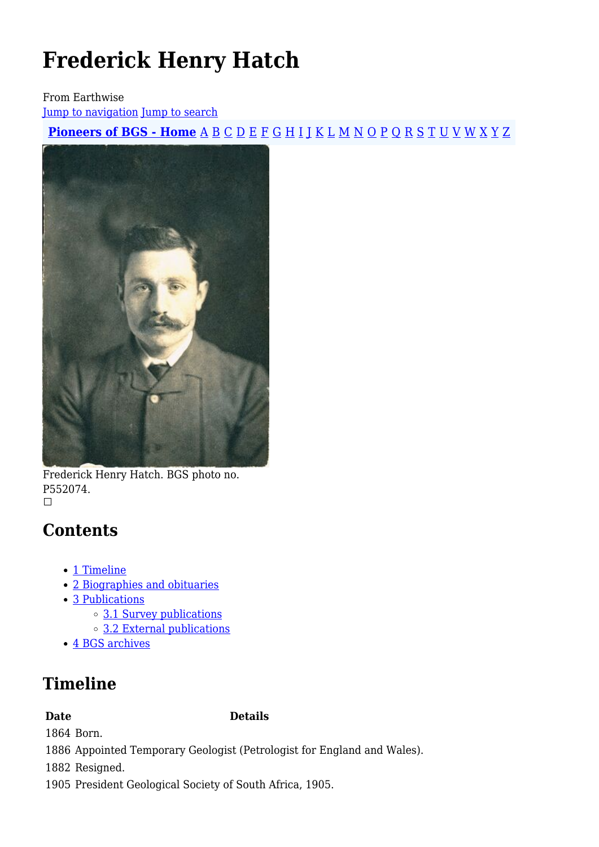# **Frederick Henry Hatch**

From Earthwise

[Jump to navigation](#page--1-0) [Jump to search](#page--1-0)

**[Pioneers of BGS - Home](http://earthwise.bgs.ac.uk/index.php/Pioneers_of_the_British_Geological_Survey)** [A](http://earthwise.bgs.ac.uk/index.php/Pioneers_of_the_British_Geological_Survey#A) [B](http://earthwise.bgs.ac.uk/index.php/Pioneers_of_the_British_Geological_Survey#B) [C](http://earthwise.bgs.ac.uk/index.php/Pioneers_of_the_British_Geological_Survey#C) [D](http://earthwise.bgs.ac.uk/index.php/Pioneers_of_the_British_Geological_Survey#D) [E](http://earthwise.bgs.ac.uk/index.php/Pioneers_of_the_British_Geological_Survey#E) [F](http://earthwise.bgs.ac.uk/index.php/Pioneers_of_the_British_Geological_Survey#F) [G](http://earthwise.bgs.ac.uk/index.php/Pioneers_of_the_British_Geological_Survey#G) [H](http://earthwise.bgs.ac.uk/index.php/Pioneers_of_the_British_Geological_Survey#H) [I](http://earthwise.bgs.ac.uk/index.php/Pioneers_of_the_British_Geological_Survey#I) [J](http://earthwise.bgs.ac.uk/index.php/Pioneers_of_the_British_Geological_Survey#J) [K](http://earthwise.bgs.ac.uk/index.php/Pioneers_of_the_British_Geological_Survey#K) [L](http://earthwise.bgs.ac.uk/index.php/Pioneers_of_the_British_Geological_Survey#L) [M](http://earthwise.bgs.ac.uk/index.php/Pioneers_of_the_British_Geological_Survey#M) [N](http://earthwise.bgs.ac.uk/index.php/Pioneers_of_the_British_Geological_Survey#N) [O](http://earthwise.bgs.ac.uk/index.php/Pioneers_of_the_British_Geological_Survey#O) [P](http://earthwise.bgs.ac.uk/index.php/Pioneers_of_the_British_Geological_Survey#P) [Q](http://earthwise.bgs.ac.uk/index.php/Pioneers_of_the_British_Geological_Survey#Q) [R](http://earthwise.bgs.ac.uk/index.php/Pioneers_of_the_British_Geological_Survey#R) [S](http://earthwise.bgs.ac.uk/index.php/Pioneers_of_the_British_Geological_Survey#S) [T](http://earthwise.bgs.ac.uk/index.php/Pioneers_of_the_British_Geological_Survey#T) [U](http://earthwise.bgs.ac.uk/index.php/Pioneers_of_the_British_Geological_Survey#U) [V](http://earthwise.bgs.ac.uk/index.php/Pioneers_of_the_British_Geological_Survey#V) [W](http://earthwise.bgs.ac.uk/index.php/Pioneers_of_the_British_Geological_Survey#W) [X](http://earthwise.bgs.ac.uk/index.php/Pioneers_of_the_British_Geological_Survey#X) [Y](http://earthwise.bgs.ac.uk/index.php/Pioneers_of_the_British_Geological_Survey#Y) [Z](http://earthwise.bgs.ac.uk/index.php/Pioneers_of_the_British_Geological_Survey#Z)



Frederick Henry Hatch. BGS photo no. P552074.

### **Contents**

- [1](#page--1-0) [Timeline](#page--1-0)
- [2](#page--1-0) [Biographies and obituaries](#page--1-0)
- [3](#page--1-0) [Publications](#page--1-0)
	- [3.1](#page--1-0) [Survey publications](#page--1-0)
	- [3.2](#page--1-0) [External publications](#page--1-0)
- [4](#page--1-0) [BGS archives](#page--1-0)

## **Timeline**

**Date Details**

1864 Born.

1886 Appointed Temporary Geologist (Petrologist for England and Wales).

1882 Resigned.

1905 President Geological Society of South Africa, 1905.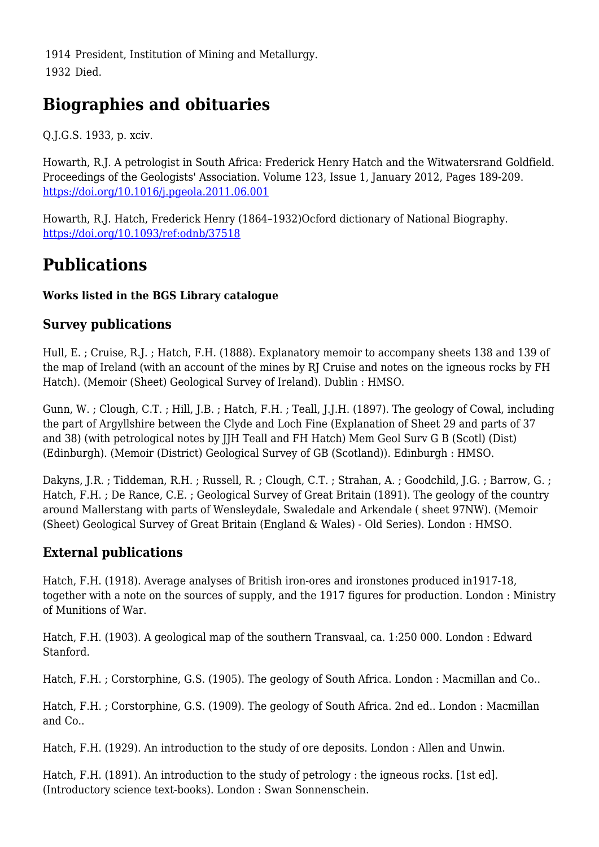1914 President, Institution of Mining and Metallurgy. 1932 Died.

### **Biographies and obituaries**

Q.J.G.S. 1933, p. xciv.

Howarth, R.J. A petrologist in South Africa: Frederick Henry Hatch and the Witwatersrand Goldfield. Proceedings of the Geologists' Association. Volume 123, Issue 1, January 2012, Pages 189-209. <https://doi.org/10.1016/j.pgeola.2011.06.001>

Howarth, R.J. Hatch, Frederick Henry (1864–1932)Ocford dictionary of National Biography. <https://doi.org/10.1093/ref:odnb/37518>

### **Publications**

#### **Works listed in the BGS Library catalogue**

#### **Survey publications**

Hull, E. ; Cruise, R.J. ; Hatch, F.H. (1888). Explanatory memoir to accompany sheets 138 and 139 of the map of Ireland (with an account of the mines by RJ Cruise and notes on the igneous rocks by FH Hatch). (Memoir (Sheet) Geological Survey of Ireland). Dublin : HMSO.

Gunn, W. ; Clough, C.T. ; Hill, J.B. ; Hatch, F.H. ; Teall, J.J.H. (1897). The geology of Cowal, including the part of Argyllshire between the Clyde and Loch Fine (Explanation of Sheet 29 and parts of 37 and 38) (with petrological notes by JJH Teall and FH Hatch) Mem Geol Surv G B (Scotl) (Dist) (Edinburgh). (Memoir (District) Geological Survey of GB (Scotland)). Edinburgh : HMSO.

Dakyns, J.R. ; Tiddeman, R.H. ; Russell, R. ; Clough, C.T. ; Strahan, A. ; Goodchild, J.G. ; Barrow, G. ; Hatch, F.H. ; De Rance, C.E. ; Geological Survey of Great Britain (1891). The geology of the country around Mallerstang with parts of Wensleydale, Swaledale and Arkendale ( sheet 97NW). (Memoir (Sheet) Geological Survey of Great Britain (England & Wales) - Old Series). London : HMSO.

### **External publications**

Hatch, F.H. (1918). Average analyses of British iron-ores and ironstones produced in1917-18, together with a note on the sources of supply, and the 1917 figures for production. London : Ministry of Munitions of War.

Hatch, F.H. (1903). A geological map of the southern Transvaal, ca. 1:250 000. London : Edward Stanford.

Hatch, F.H. ; Corstorphine, G.S. (1905). The geology of South Africa. London : Macmillan and Co..

Hatch, F.H. ; Corstorphine, G.S. (1909). The geology of South Africa. 2nd ed.. London : Macmillan and Co..

Hatch, F.H. (1929). An introduction to the study of ore deposits. London : Allen and Unwin.

Hatch, F.H. (1891). An introduction to the study of petrology : the igneous rocks. [1st ed]. (Introductory science text-books). London : Swan Sonnenschein.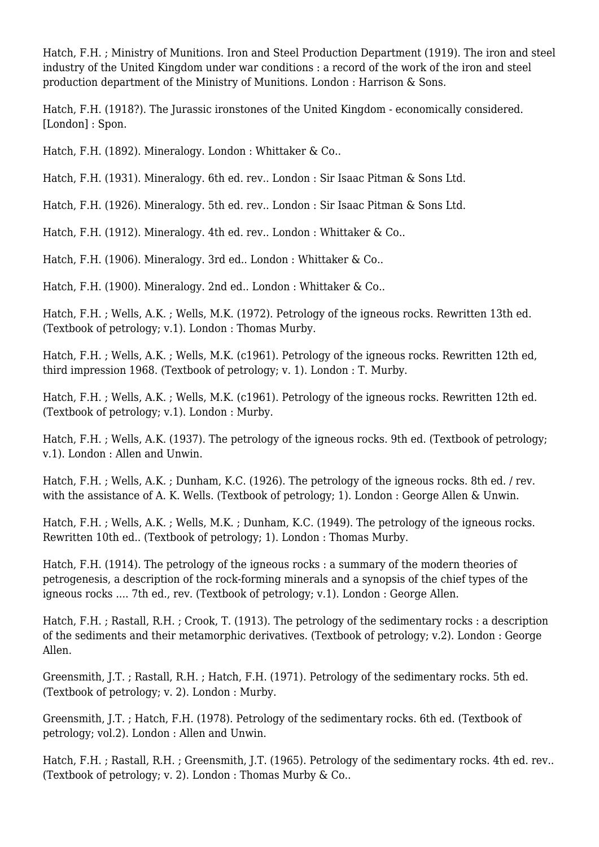Hatch, F.H. ; Ministry of Munitions. Iron and Steel Production Department (1919). The iron and steel industry of the United Kingdom under war conditions : a record of the work of the iron and steel production department of the Ministry of Munitions. London : Harrison & Sons.

Hatch, F.H. (1918?). The Jurassic ironstones of the United Kingdom - economically considered. [London] : Spon.

Hatch, F.H. (1892). Mineralogy. London : Whittaker & Co..

Hatch, F.H. (1931). Mineralogy. 6th ed. rev.. London : Sir Isaac Pitman & Sons Ltd.

Hatch, F.H. (1926). Mineralogy. 5th ed. rev.. London : Sir Isaac Pitman & Sons Ltd.

Hatch, F.H. (1912). Mineralogy. 4th ed. rev.. London : Whittaker & Co..

Hatch, F.H. (1906). Mineralogy. 3rd ed.. London : Whittaker & Co..

Hatch, F.H. (1900). Mineralogy. 2nd ed.. London : Whittaker & Co..

Hatch, F.H. ; Wells, A.K. ; Wells, M.K. (1972). Petrology of the igneous rocks. Rewritten 13th ed. (Textbook of petrology; v.1). London : Thomas Murby.

Hatch, F.H. ; Wells, A.K. ; Wells, M.K. (c1961). Petrology of the igneous rocks. Rewritten 12th ed, third impression 1968. (Textbook of petrology; v. 1). London : T. Murby.

Hatch, F.H. ; Wells, A.K. ; Wells, M.K. (c1961). Petrology of the igneous rocks. Rewritten 12th ed. (Textbook of petrology; v.1). London : Murby.

Hatch, F.H. ; Wells, A.K. (1937). The petrology of the igneous rocks. 9th ed. (Textbook of petrology; v.1). London : Allen and Unwin.

Hatch, F.H. ; Wells, A.K. ; Dunham, K.C. (1926). The petrology of the igneous rocks. 8th ed. / rev. with the assistance of A. K. Wells. (Textbook of petrology; 1). London : George Allen & Unwin.

Hatch, F.H. ; Wells, A.K. ; Wells, M.K. ; Dunham, K.C. (1949). The petrology of the igneous rocks. Rewritten 10th ed.. (Textbook of petrology; 1). London : Thomas Murby.

Hatch, F.H. (1914). The petrology of the igneous rocks : a summary of the modern theories of petrogenesis, a description of the rock-forming minerals and a synopsis of the chief types of the igneous rocks .... 7th ed., rev. (Textbook of petrology; v.1). London : George Allen.

Hatch, F.H. ; Rastall, R.H. ; Crook, T. (1913). The petrology of the sedimentary rocks : a description of the sediments and their metamorphic derivatives. (Textbook of petrology; v.2). London : George Allen.

Greensmith, J.T. ; Rastall, R.H. ; Hatch, F.H. (1971). Petrology of the sedimentary rocks. 5th ed. (Textbook of petrology; v. 2). London : Murby.

Greensmith, J.T. ; Hatch, F.H. (1978). Petrology of the sedimentary rocks. 6th ed. (Textbook of petrology; vol.2). London : Allen and Unwin.

Hatch, F.H. ; Rastall, R.H. ; Greensmith, J.T. (1965). Petrology of the sedimentary rocks. 4th ed. rev.. (Textbook of petrology; v. 2). London : Thomas Murby & Co..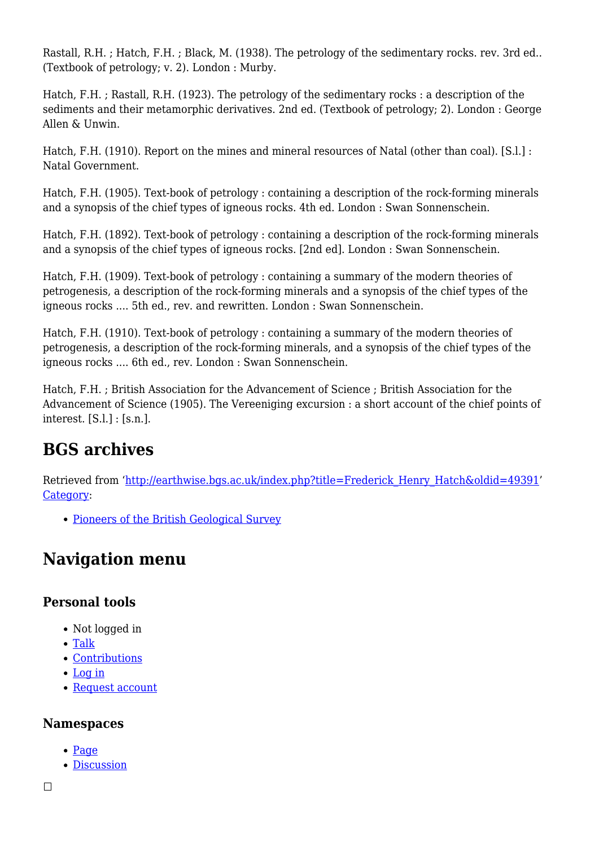Rastall, R.H. ; Hatch, F.H. ; Black, M. (1938). The petrology of the sedimentary rocks. rev. 3rd ed.. (Textbook of petrology; v. 2). London : Murby.

Hatch, F.H. ; Rastall, R.H. (1923). The petrology of the sedimentary rocks : a description of the sediments and their metamorphic derivatives. 2nd ed. (Textbook of petrology; 2). London : George Allen & Unwin.

Hatch, F.H. (1910). Report on the mines and mineral resources of Natal (other than coal). [S.l.] : Natal Government.

Hatch, F.H. (1905). Text-book of petrology : containing a description of the rock-forming minerals and a synopsis of the chief types of igneous rocks. 4th ed. London : Swan Sonnenschein.

Hatch, F.H. (1892). Text-book of petrology : containing a description of the rock-forming minerals and a synopsis of the chief types of igneous rocks. [2nd ed]. London : Swan Sonnenschein.

Hatch, F.H. (1909). Text-book of petrology : containing a summary of the modern theories of petrogenesis, a description of the rock-forming minerals and a synopsis of the chief types of the igneous rocks .... 5th ed., rev. and rewritten. London : Swan Sonnenschein.

Hatch, F.H. (1910). Text-book of petrology : containing a summary of the modern theories of petrogenesis, a description of the rock-forming minerals, and a synopsis of the chief types of the igneous rocks .... 6th ed., rev. London : Swan Sonnenschein.

Hatch, F.H. ; British Association for the Advancement of Science ; British Association for the Advancement of Science (1905). The Vereeniging excursion : a short account of the chief points of interest. [S.l.] : [s.n.].

### **BGS archives**

Retrieved from ['http://earthwise.bgs.ac.uk/index.php?title=Frederick\\_Henry\\_Hatch&oldid=49391](http://earthwise.bgs.ac.uk/index.php?title=Frederick_Henry_Hatch&oldid=49391)' [Category](http://earthwise.bgs.ac.uk/index.php/Special:Categories):

• [Pioneers of the British Geological Survey](http://earthwise.bgs.ac.uk/index.php/Category:Pioneers_of_the_British_Geological_Survey)

## **Navigation menu**

### **Personal tools**

- Not logged in
- [Talk](http://earthwise.bgs.ac.uk/index.php/Special:MyTalk)
- [Contributions](http://earthwise.bgs.ac.uk/index.php/Special:MyContributions)
- [Log in](http://earthwise.bgs.ac.uk/index.php?title=Special:UserLogin&returnto=Frederick+Henry+Hatch&returntoquery=action%3Dmpdf)
- [Request account](http://earthwise.bgs.ac.uk/index.php/Special:RequestAccount)

### **Namespaces**

- [Page](http://earthwise.bgs.ac.uk/index.php/Frederick_Henry_Hatch)
- [Discussion](http://earthwise.bgs.ac.uk/index.php?title=Talk:Frederick_Henry_Hatch&action=edit&redlink=1)